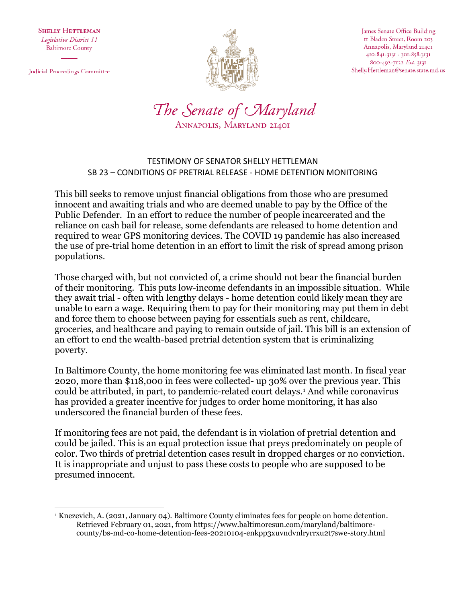**SHELLY HETTLEMAN** Legislative District 11 **Baltimore County** 

Judicial Proceedings Committee



James Senate Office Building II Bladen Street, Room 203 Annapolis, Maryland 21401 410-841-3131 · 301-858-3131 800-492-7122 Ext. 3131 Shelly.Hettleman@senate.state.md.us



## TESTIMONY OF SENATOR SHELLY HETTLEMAN SB 23 – CONDITIONS OF PRETRIAL RELEASE - HOME DETENTION MONITORING

This bill seeks to remove unjust financial obligations from those who are presumed innocent and awaiting trials and who are deemed unable to pay by the Office of the Public Defender. In an effort to reduce the number of people incarcerated and the reliance on cash bail for release, some defendants are released to home detention and required to wear GPS monitoring devices. The COVID 19 pandemic has also increased the use of pre-trial home detention in an effort to limit the risk of spread among prison populations.

Those charged with, but not convicted of, a crime should not bear the financial burden of their monitoring. This puts low-income defendants in an impossible situation. While they await trial - often with lengthy delays - home detention could likely mean they are unable to earn a wage. Requiring them to pay for their monitoring may put them in debt and force them to choose between paying for essentials such as rent, childcare, groceries, and healthcare and paying to remain outside of jail. This bill is an extension of an effort to end the wealth-based pretrial detention system that is criminalizing poverty.

In Baltimore County, the home monitoring fee was eliminated last month. In fiscal year 2020, more than \$118,000 in fees were collected- up 30% over the previous year. This could be attributed, in part, to pandemic-related court delays.<sup>1</sup> And while coronavirus has provided a greater incentive for judges to order home monitoring, it has also underscored the financial burden of these fees.

If monitoring fees are not paid, the defendant is in violation of pretrial detention and could be jailed. This is an equal protection issue that preys predominately on people of color. Two thirds of pretrial detention cases result in dropped charges or no conviction. It is inappropriate and unjust to pass these costs to people who are supposed to be presumed innocent.

 $\overline{a}$ <sup>1</sup> Knezevich, A. (2021, January 04). Baltimore County eliminates fees for people on home detention. Retrieved February 01, 2021, from https://www.baltimoresun.com/maryland/baltimorecounty/bs-md-co-home-detention-fees-20210104-enkpp3xuvndvnlryrrxu2t7swe-story.html